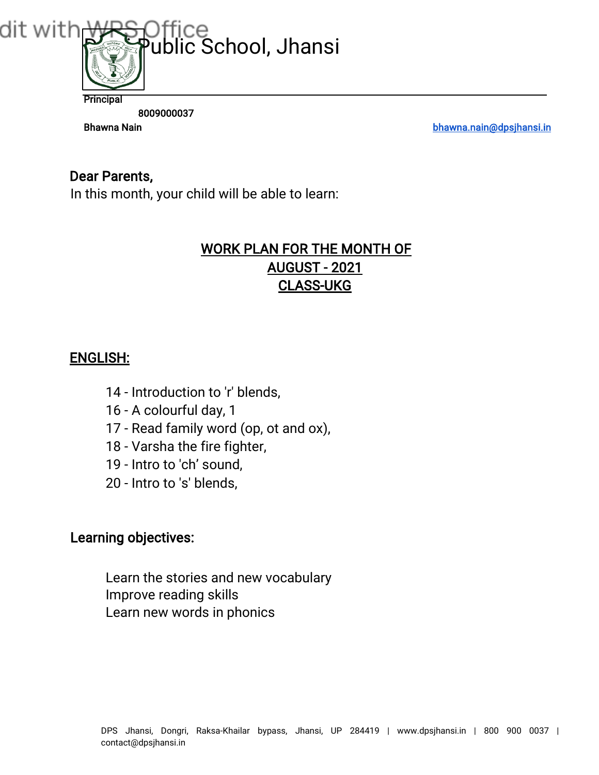

8009000037

Bhawna Nain bhawna.nain@dpsjhansi.in

## Dear Parents,

In this month, your child will be able to learn:

# WORK PLAN FOR THE MONTH OF AUGUST - 2021 CLASS-UKG

## ENGLISH:

- 14 Introduction to 'r' blends,
- 16 A colourful day, 1
- 17 Read family word (op, ot and ox),
- 18 Varsha the fire fighter,
- 19 Intro to 'ch' sound,
- 20 Intro to 's' blends,

## Learning objectives:

Learn the stories and new vocabulary Improve reading skills Learn new words in phonics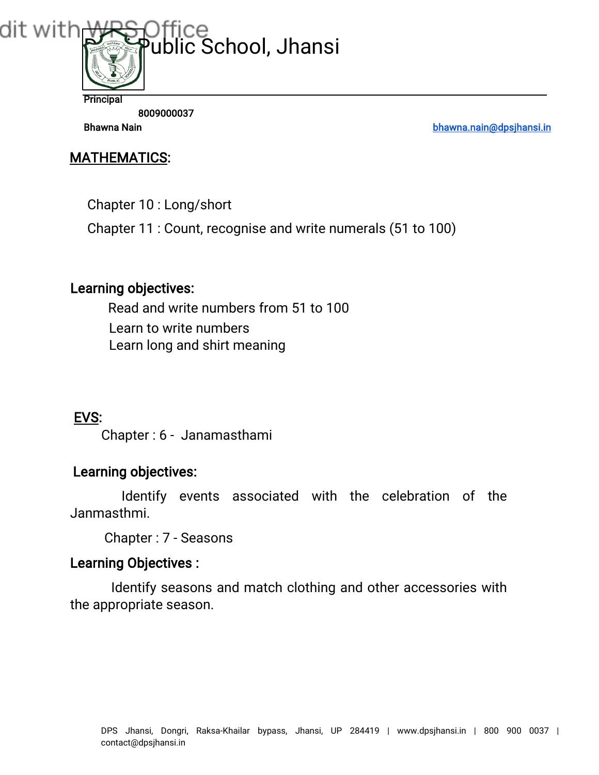

8009000037

Bhawna Nain bhawna.nain@dpsjhansi.in

## MATHEMATICS:

Chapter 10 : Long/short

Chapter 11 : Count, recognise and write numerals (51 to 100)

## Learning objectives:

Read and write numbers from 51 to 100 Learn to write numbers Learn long and shirt meaning

# EVS:

Chapter : 6 - Janamasthami

# Learning objectives:

Identify events associated with the celebration of the Janmasthmi.

Chapter : 7 - Seasons

## Learning Objectives :

Identify seasons and match clothing and other accessories with the appropriate season.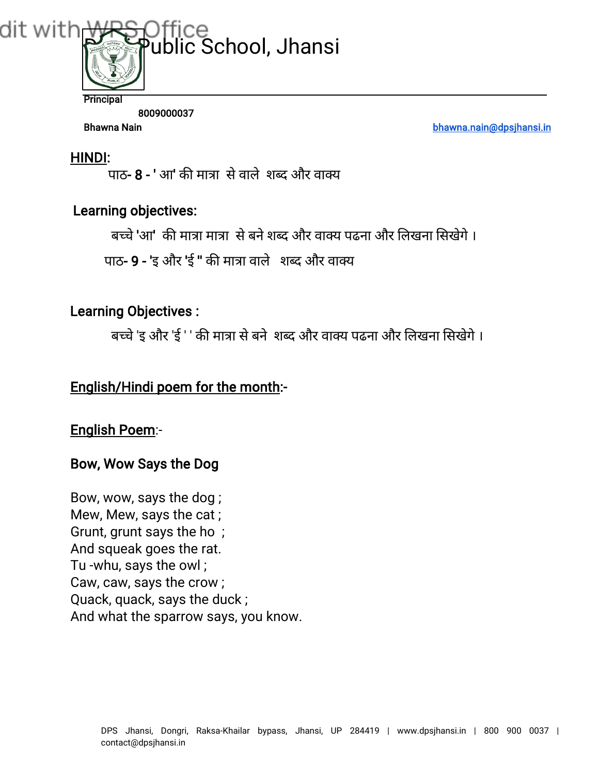

8009000037

Bhawna Nain bhawna.nain@dpsjhansi.in

#### HINDI:

पाठ-  $8$  - ' आ' की मात्रा से वाले शब्द और वाक्य

### Learning objectives:

बच्चे 'आ' की मात्रा मात्रा से बने शब्द और वाक्य प्रद्रना और लिखना सिखेगे ।

पाठ- 9 - 'इ और 'ई " की मात्रा वाले शब्द और वाक्य

#### Learning Objectives :

बच्चे 'इ और 'ई ' ' की मात्रा से बने शब्द और वाक्य पढना और लिखना सिखेगे ।

## English/Hindi poem for the month:-

#### English Poem:-

#### Bow, Wow Says the Dog

Bow, wow, says the dog ; Mew, Mew, says the cat ; Grunt, grunt says the ho ; And squeak goes the rat. Tu -whu, says the owl ; Caw, caw, says the crow ; Quack, quack, says the duck ; And what the sparrow says, you know.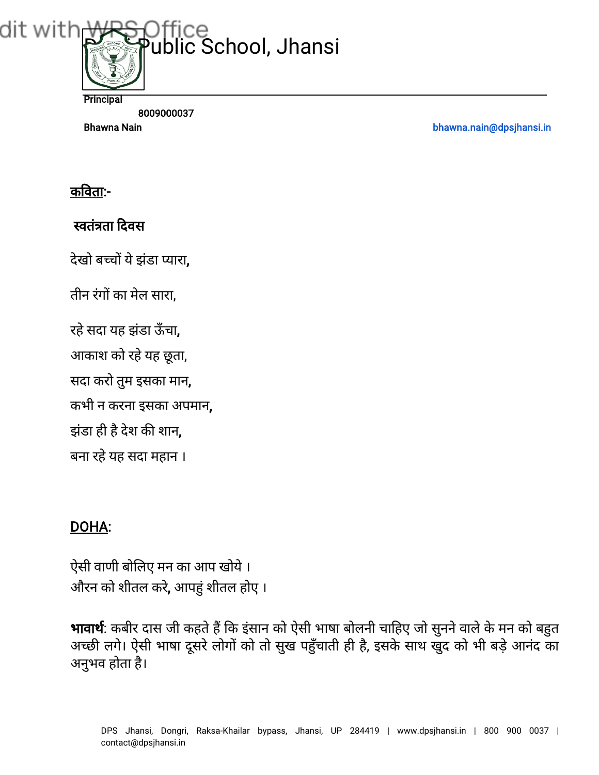

Bhawna Nain bhawna.nain@dpsjhansi.in

# कवता:-

# वतंता दवस

देखो बच्चों ये झंडा प्यारा.

तीन रंगों का मेल सारा,

रहेसदा यह झंडा ऊँचा,

आकाश को रहेयह छूता,

सदा करो तुम इसका मान,

कभी न करना इसका अपमान,

झंडा ही है देश की शान,

बना रहे यह सदा महान ।

# DOHA:

ऐसी वाणी बोलए मन का आप खोये। औरन को शीतल करे, आपहुं शीतल होए ।

भावार्थ: कबीर दास जी कहते हैं कि इंसान को ऐसी भाषा बोलनी चाहिए जो सुनने वाले के मन को बहुत अच्छी लगे। ऐसी भाषा दूसरे लोगों को तो सुख पहुँचाती ही है, इसके साथ खुद को भी बड़े आनंद का अनुभव होता है।